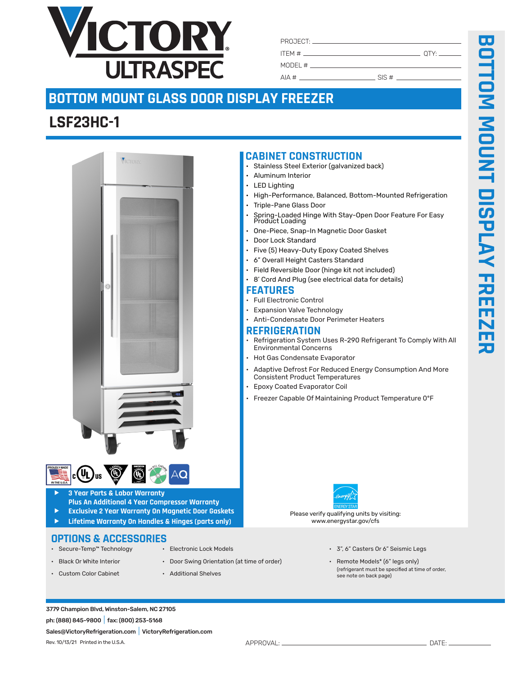

| PROJECT: New York PROJECT: |            |             |
|----------------------------|------------|-------------|
|                            |            | OTY: $\_\_$ |
|                            |            |             |
| AIA#                       | . SIS $\#$ |             |

## **BOTTOM MOUNT GLASS DOOR DISPLAY FREEZER**

## **LSF23HC-1**





- f **3 Year Parts & Labor Warranty Plus An Additional 4 Year Compressor Warranty**
- f **Exclusive 2 Year Warranty On Magnetic Door Gaskets**
- f **Lifetime Warranty On Handles & Hinges (parts only)**

## **OPTIONS & ACCESSORIES**<br>• Secure-Temp<sup>m</sup> Technology · Electronic Lock Models

- 
- 
- Black Or White Interior Door Swing Orientation (at time of order) Remote Models\* (6" legs only)
- 
- 
- 
- 
- 3", 6" Casters Or 6" Seismic Legs
- Custom Color Cabinet Additional Shelves (refrigerant must be specified at time of order, see note on back page)
- Anti-Condensate Door Perimeter Heaters **REFRIGERATION**
- Refrigeration System Uses R-290 Refrigerant To Comply With All Environmental Concerns

• High-Performance, Balanced, Bottom-Mounted Refrigeration

• Spring-Loaded Hinge With Stay-Open Door Feature For Easy Product Loading

• Hot Gas Condensate Evaporator

• Full Electronic Control • Expansion Valve Technology

**FEATURES**

**CABINET CONSTRUCTION**

• Aluminum Interior • LED Lighting

• Triple-Pane Glass Door

• Door Lock Standard

Stainless Steel Exterior (galvanized back)

• One-Piece, Snap-In Magnetic Door Gasket

• Five (5) Heavy-Duty Epoxy Coated Shelves • 6" Overall Height Casters Standard

• Field Reversible Door (hinge kit not included) • 8' Cord And Plug (see electrical data for details)

- Adaptive Defrost For Reduced Energy Consumption And More Consistent Product Temperatures
- Epoxy Coated Evaporator Coil
- Freezer Capable Of Maintaining Product Temperature 0ºF

Please verify qualifying units by visiting: www.energystar.gov/cfs

3779 Champion Blvd, Winston-Salem, NC 27105 ph: (888) 845-9800|fax: (800) 253-5168 Sales@VictoryRefrigeration.com|VictoryRefrigeration.com

APPROVAL: DATE: